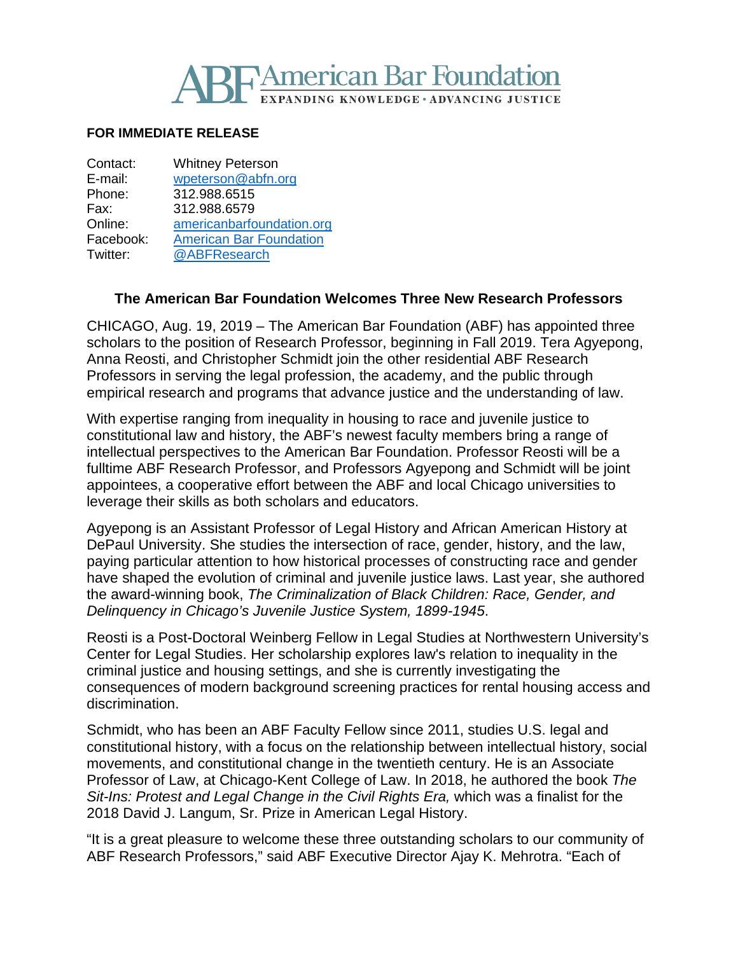

#### **FOR IMMEDIATE RELEASE**

| Contact:  | <b>Whitney Peterson</b>        |
|-----------|--------------------------------|
| E-mail:   | wpeterson@abfn.org             |
| Phone:    | 312.988.6515                   |
| Fax:      | 312.988.6579                   |
| Online:   | americanbarfoundation.org      |
| Facebook: | <b>American Bar Foundation</b> |
| Twitter:  | @ABFResearch                   |
|           |                                |

#### **The American Bar Foundation Welcomes Three New Research Professors**

CHICAGO, Aug. 19, 2019 – The American Bar Foundation (ABF) has appointed three scholars to the position of Research Professor, beginning in Fall 2019. Tera Agyepong, Anna Reosti, and Christopher Schmidt join the other residential ABF Research Professors in serving the legal profession, the academy, and the public through empirical research and programs that advance justice and the understanding of law.

With expertise ranging from inequality in housing to race and juvenile justice to constitutional law and history, the ABF's newest faculty members bring a range of intellectual perspectives to the American Bar Foundation. Professor Reosti will be a fulltime ABF Research Professor, and Professors Agyepong and Schmidt will be joint appointees, a cooperative effort between the ABF and local Chicago universities to leverage their skills as both scholars and educators.

Agyepong is an Assistant Professor of Legal History and African American History at DePaul University. She studies the intersection of race, gender, history, and the law, paying particular attention to how historical processes of constructing race and gender have shaped the evolution of criminal and juvenile justice laws. Last year, she authored the award-winning book, *The Criminalization of Black Children: Race, Gender, and Delinquency in Chicago's Juvenile Justice System, 1899-1945*.

Reosti is a Post-Doctoral Weinberg Fellow in Legal Studies at Northwestern University's Center for Legal Studies. Her scholarship explores law's relation to inequality in the criminal justice and housing settings, and she is currently investigating the consequences of modern background screening practices for rental housing access and discrimination.

Schmidt, who has been an ABF Faculty Fellow since 2011, studies U.S. legal and constitutional history, with a focus on the relationship between intellectual history, social movements, and constitutional change in the twentieth century. He is an Associate Professor of Law, at Chicago-Kent College of Law. In 2018, he authored the book *The Sit-Ins: Protest and Legal Change in the Civil Rights Era,* which was a finalist for the 2018 David J. Langum, Sr. Prize in American Legal History.

"It is a great pleasure to welcome these three outstanding scholars to our community of ABF Research Professors," said ABF Executive Director Ajay K. Mehrotra. "Each of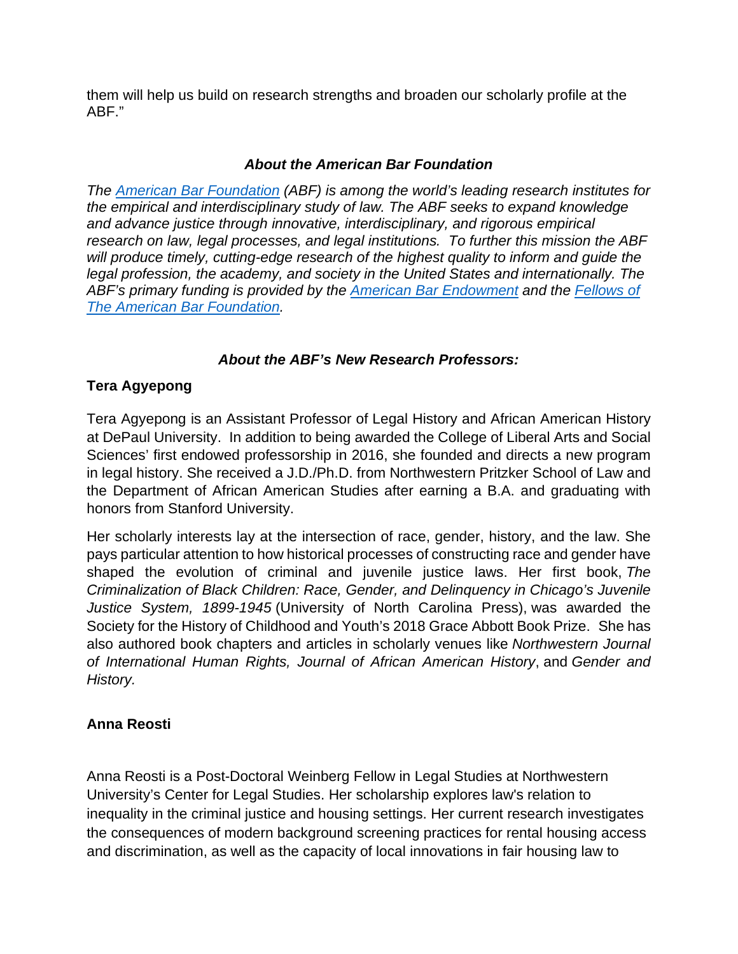them will help us build on research strengths and broaden our scholarly profile at the ABF."

## *About the American Bar Foundation*

*The [American Bar Foundation](http://www.americanbarfoundation.org/index.html) (ABF) is among the world's leading research institutes for the empirical and interdisciplinary study of law. The ABF seeks to expand knowledge and advance justice through innovative, interdisciplinary, and rigorous empirical research on law, legal processes, and legal institutions. To further this mission the ABF will produce timely, cutting-edge research of the highest quality to inform and guide the legal profession, the academy, and society in the United States and internationally. The ABF's primary funding is provided by the [American Bar Endowment](http://www.abendowment.org/) and the [Fellows of](http://www.americanbarfoundation.org/fellows/index.html)  [The American Bar Foundation.](http://www.americanbarfoundation.org/fellows/index.html)*

# *About the ABF's New Research Professors:*

# **Tera Agyepong**

Tera Agyepong is an Assistant Professor of Legal History and African American History at DePaul University. In addition to being awarded the College of Liberal Arts and Social Sciences' first endowed professorship in 2016, she founded and directs a new program in legal history. She received a J.D./Ph.D. from Northwestern Pritzker School of Law and the Department of African American Studies after earning a B.A. and graduating with honors from Stanford University.

Her scholarly interests lay at the intersection of race, gender, history, and the law. She pays particular attention to how historical processes of constructing race and gender have shaped the evolution of criminal and juvenile justice laws. Her first book, *The Criminalization of Black Children: Race, Gender, and Delinquency in Chicago's Juvenile Justice System, 1899-1945* (University of North Carolina Press), was awarded the Society for the History of Childhood and Youth's 2018 Grace Abbott Book Prize. She has also authored book chapters and articles in scholarly venues like *Northwestern Journal of International Human Rights, Journal of African American History*, and *Gender and History.*

# **Anna Reosti**

Anna Reosti is a Post-Doctoral Weinberg Fellow in Legal Studies at Northwestern University's Center for Legal Studies. Her scholarship explores law's relation to inequality in the criminal justice and housing settings. Her current research investigates the consequences of modern background screening practices for rental housing access and discrimination, as well as the capacity of local innovations in fair housing law to